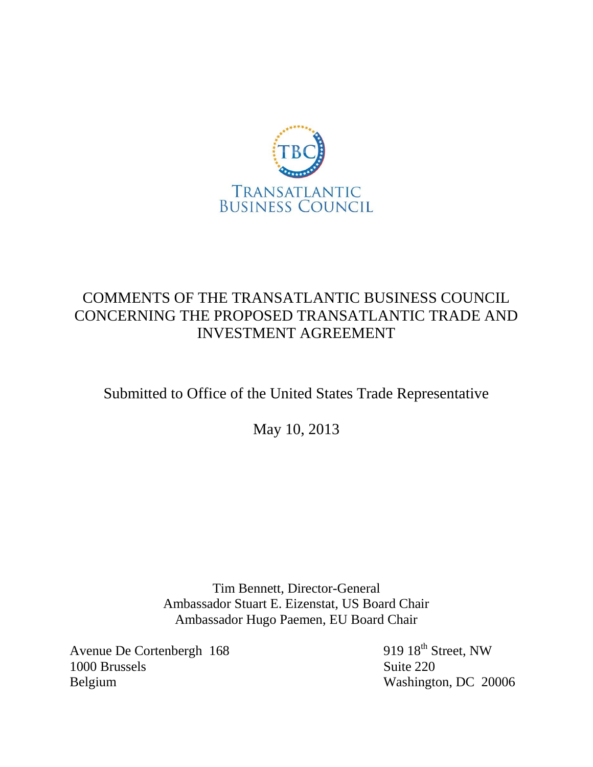

# COMMENTS OF THE TRANSATLANTIC BUSINESS COUNCIL CONCERNING THE PROPOSED TRANSATLANTIC TRADE AND INVESTMENT AGREEMENT

# Submitted to Office of the United States Trade Representative

May 10, 2013

Tim Bennett, Director-General Ambassador Stuart E. Eizenstat, US Board Chair Ambassador Hugo Paemen, EU Board Chair

Avenue De Cortenbergh 168 919 18<sup>th</sup> Street, NW 1000 Brussels Suite 220 Belgium Washington, DC 20006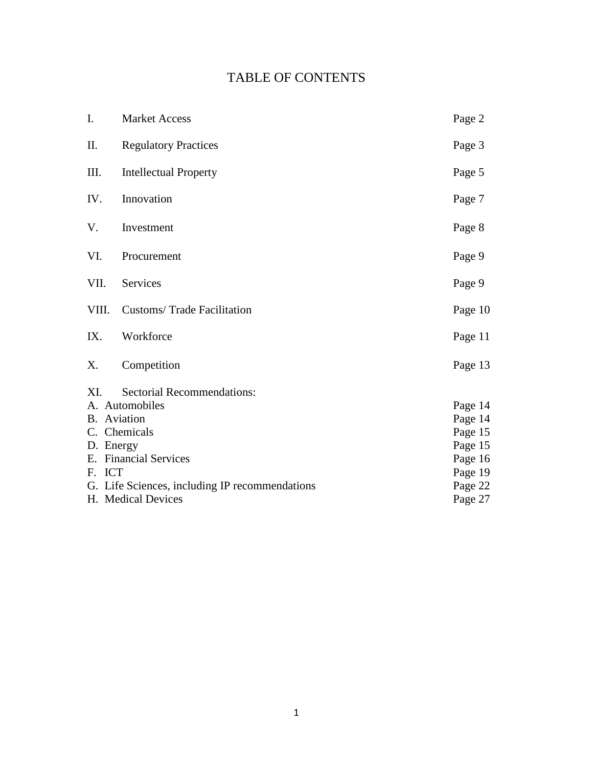# TABLE OF CONTENTS

| I.                                             | <b>Market Access</b>              | Page 2  |
|------------------------------------------------|-----------------------------------|---------|
| II.                                            | <b>Regulatory Practices</b>       | Page 3  |
| III.                                           | <b>Intellectual Property</b>      | Page 5  |
| IV.                                            | Innovation                        | Page 7  |
| V.                                             | Investment                        | Page 8  |
| VI.                                            | Procurement                       | Page 9  |
| VII.                                           | Services                          | Page 9  |
| VIII.                                          | <b>Customs/Trade Facilitation</b> | Page 10 |
| IX.                                            | Workforce                         | Page 11 |
| Χ.                                             | Competition                       | Page 13 |
| XI.                                            | Sectorial Recommendations:        |         |
|                                                | A. Automobiles                    | Page 14 |
| B. Aviation                                    |                                   | Page 14 |
| C. Chemicals                                   |                                   | Page 15 |
| D. Energy                                      |                                   | Page 15 |
| E. Financial Services                          |                                   | Page 16 |
| F. ICT                                         |                                   | Page 19 |
| G. Life Sciences, including IP recommendations |                                   | Page 22 |
| H. Medical Devices                             |                                   | Page 27 |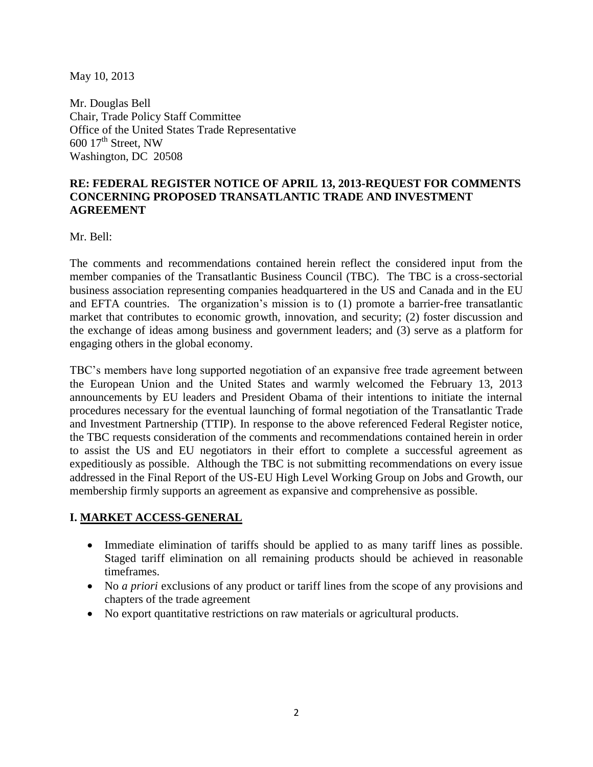May 10, 2013

Mr. Douglas Bell Chair, Trade Policy Staff Committee Office of the United States Trade Representative  $600$   $17<sup>th</sup>$  Street, NW Washington, DC 20508

## **RE: FEDERAL REGISTER NOTICE OF APRIL 13, 2013-REQUEST FOR COMMENTS CONCERNING PROPOSED TRANSATLANTIC TRADE AND INVESTMENT AGREEMENT**

Mr. Bell:

The comments and recommendations contained herein reflect the considered input from the member companies of the Transatlantic Business Council (TBC). The TBC is a cross-sectorial business association representing companies headquartered in the US and Canada and in the EU and EFTA countries. The organization's mission is to (1) promote a barrier-free transatlantic market that contributes to economic growth, innovation, and security; (2) foster discussion and the exchange of ideas among business and government leaders; and (3) serve as a platform for engaging others in the global economy.

TBC's members have long supported negotiation of an expansive free trade agreement between the European Union and the United States and warmly welcomed the February 13, 2013 announcements by EU leaders and President Obama of their intentions to initiate the internal procedures necessary for the eventual launching of formal negotiation of the Transatlantic Trade and Investment Partnership (TTIP). In response to the above referenced Federal Register notice, the TBC requests consideration of the comments and recommendations contained herein in order to assist the US and EU negotiators in their effort to complete a successful agreement as expeditiously as possible. Although the TBC is not submitting recommendations on every issue addressed in the Final Report of the US-EU High Level Working Group on Jobs and Growth, our membership firmly supports an agreement as expansive and comprehensive as possible.

## **I. MARKET ACCESS-GENERAL**

- Immediate elimination of tariffs should be applied to as many tariff lines as possible. Staged tariff elimination on all remaining products should be achieved in reasonable timeframes.
- No *a priori* exclusions of any product or tariff lines from the scope of any provisions and chapters of the trade agreement
- No export quantitative restrictions on raw materials or agricultural products.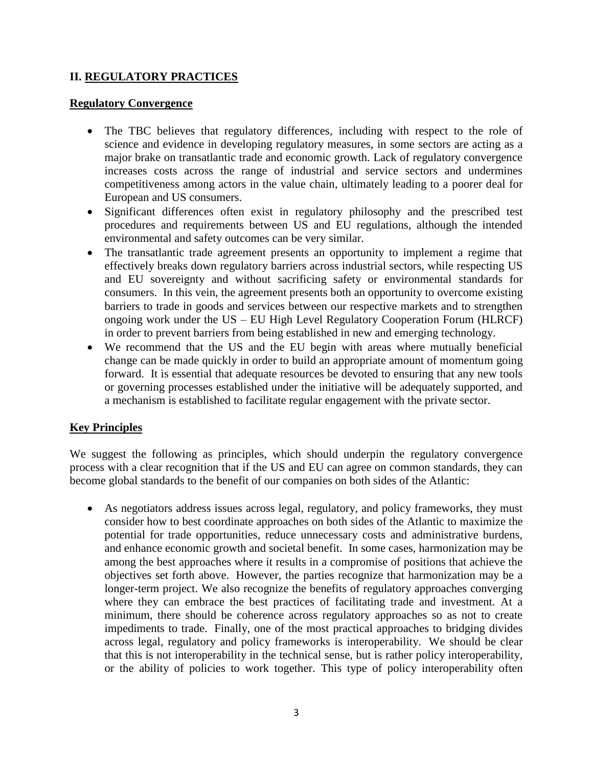## **II. REGULATORY PRACTICES**

#### **Regulatory Convergence**

- The TBC believes that regulatory differences, including with respect to the role of science and evidence in developing regulatory measures, in some sectors are acting as a major brake on transatlantic trade and economic growth. Lack of regulatory convergence increases costs across the range of industrial and service sectors and undermines competitiveness among actors in the value chain, ultimately leading to a poorer deal for European and US consumers.
- Significant differences often exist in regulatory philosophy and the prescribed test procedures and requirements between US and EU regulations, although the intended environmental and safety outcomes can be very similar.
- The transatlantic trade agreement presents an opportunity to implement a regime that effectively breaks down regulatory barriers across industrial sectors, while respecting US and EU sovereignty and without sacrificing safety or environmental standards for consumers. In this vein, the agreement presents both an opportunity to overcome existing barriers to trade in goods and services between our respective markets and to strengthen ongoing work under the US – EU High Level Regulatory Cooperation Forum (HLRCF) in order to prevent barriers from being established in new and emerging technology.
- We recommend that the US and the EU begin with areas where mutually beneficial change can be made quickly in order to build an appropriate amount of momentum going forward. It is essential that adequate resources be devoted to ensuring that any new tools or governing processes established under the initiative will be adequately supported, and a mechanism is established to facilitate regular engagement with the private sector.

#### **Key Principles**

We suggest the following as principles, which should underpin the regulatory convergence process with a clear recognition that if the US and EU can agree on common standards, they can become global standards to the benefit of our companies on both sides of the Atlantic:

 As negotiators address issues across legal, regulatory, and policy frameworks, they must consider how to best coordinate approaches on both sides of the Atlantic to maximize the potential for trade opportunities, reduce unnecessary costs and administrative burdens, and enhance economic growth and societal benefit. In some cases, harmonization may be among the best approaches where it results in a compromise of positions that achieve the objectives set forth above. However, the parties recognize that harmonization may be a longer-term project. We also recognize the benefits of regulatory approaches converging where they can embrace the best practices of facilitating trade and investment. At a minimum, there should be coherence across regulatory approaches so as not to create impediments to trade. Finally, one of the most practical approaches to bridging divides across legal, regulatory and policy frameworks is interoperability. We should be clear that this is not interoperability in the technical sense, but is rather policy interoperability, or the ability of policies to work together. This type of policy interoperability often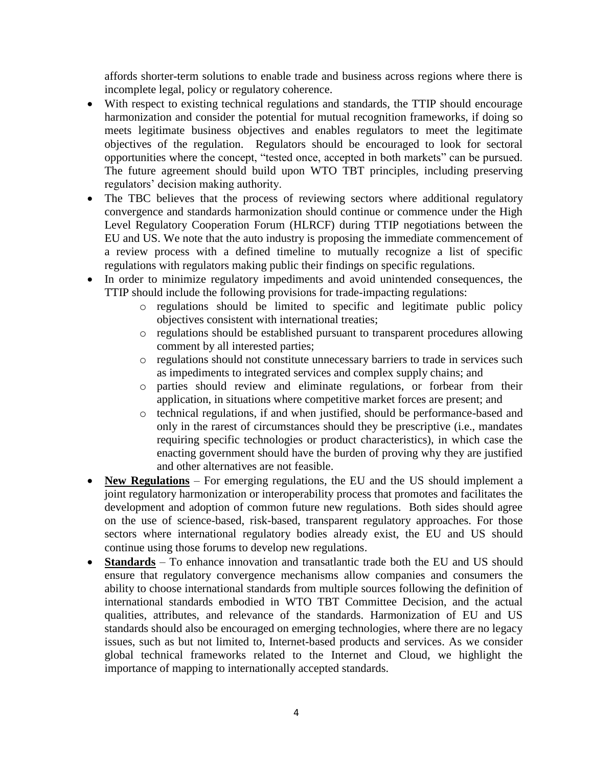affords shorter-term solutions to enable trade and business across regions where there is incomplete legal, policy or regulatory coherence.

- With respect to existing technical regulations and standards, the TTIP should encourage harmonization and consider the potential for mutual recognition frameworks, if doing so meets legitimate business objectives and enables regulators to meet the legitimate objectives of the regulation. Regulators should be encouraged to look for sectoral opportunities where the concept, "tested once, accepted in both markets" can be pursued. The future agreement should build upon WTO TBT principles, including preserving regulators' decision making authority.
- The TBC believes that the process of reviewing sectors where additional regulatory convergence and standards harmonization should continue or commence under the High Level Regulatory Cooperation Forum (HLRCF) during TTIP negotiations between the EU and US. We note that the auto industry is proposing the immediate commencement of a review process with a defined timeline to mutually recognize a list of specific regulations with regulators making public their findings on specific regulations.
- In order to minimize regulatory impediments and avoid unintended consequences, the TTIP should include the following provisions for trade-impacting regulations:
	- o regulations should be limited to specific and legitimate public policy objectives consistent with international treaties;
	- o regulations should be established pursuant to transparent procedures allowing comment by all interested parties;
	- o regulations should not constitute unnecessary barriers to trade in services such as impediments to integrated services and complex supply chains; and
	- o parties should review and eliminate regulations, or forbear from their application, in situations where competitive market forces are present; and
	- o technical regulations, if and when justified, should be performance-based and only in the rarest of circumstances should they be prescriptive (i.e., mandates requiring specific technologies or product characteristics), in which case the enacting government should have the burden of proving why they are justified and other alternatives are not feasible.
- **New Regulations** For emerging regulations, the EU and the US should implement a joint regulatory harmonization or interoperability process that promotes and facilitates the development and adoption of common future new regulations. Both sides should agree on the use of science-based, risk-based, transparent regulatory approaches. For those sectors where international regulatory bodies already exist, the EU and US should continue using those forums to develop new regulations.
- **Standards** To enhance innovation and transatlantic trade both the EU and US should ensure that regulatory convergence mechanisms allow companies and consumers the ability to choose international standards from multiple sources following the definition of international standards embodied in WTO TBT Committee Decision, and the actual qualities, attributes, and relevance of the standards. Harmonization of EU and US standards should also be encouraged on emerging technologies, where there are no legacy issues, such as but not limited to, Internet-based products and services. As we consider global technical frameworks related to the Internet and Cloud, we highlight the importance of mapping to internationally accepted standards.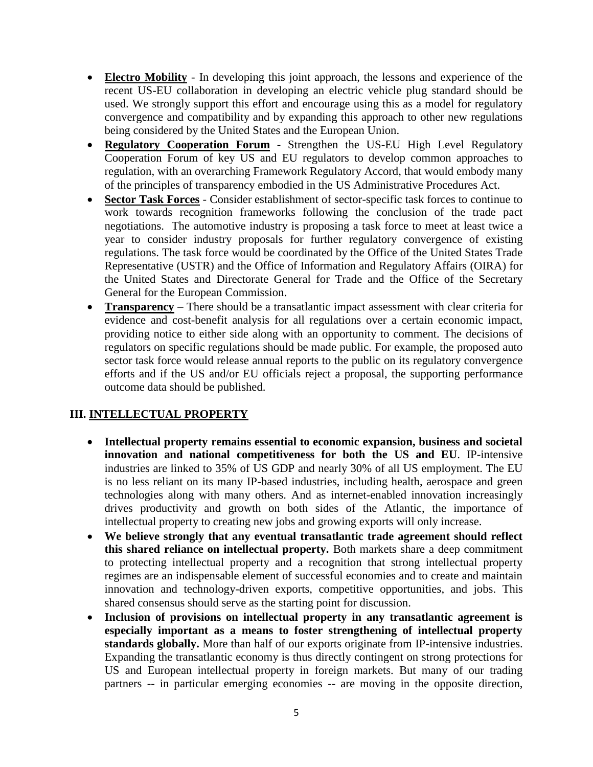- **Electro Mobility** In developing this joint approach, the lessons and experience of the recent US-EU collaboration in developing an electric vehicle plug standard should be used. We strongly support this effort and encourage using this as a model for regulatory convergence and compatibility and by expanding this approach to other new regulations being considered by the United States and the European Union.
- **Regulatory Cooperation Forum** Strengthen the US-EU High Level Regulatory Cooperation Forum of key US and EU regulators to develop common approaches to regulation, with an overarching Framework Regulatory Accord, that would embody many of the principles of transparency embodied in the US Administrative Procedures Act.
- **Sector Task Forces** Consider establishment of sector-specific task forces to continue to work towards recognition frameworks following the conclusion of the trade pact negotiations. The automotive industry is proposing a task force to meet at least twice a year to consider industry proposals for further regulatory convergence of existing regulations. The task force would be coordinated by the Office of the United States Trade Representative (USTR) and the Office of Information and Regulatory Affairs (OIRA) for the United States and Directorate General for Trade and the Office of the Secretary General for the European Commission.
- **Transparency** There should be a transatlantic impact assessment with clear criteria for evidence and cost-benefit analysis for all regulations over a certain economic impact, providing notice to either side along with an opportunity to comment. The decisions of regulators on specific regulations should be made public. For example, the proposed auto sector task force would release annual reports to the public on its regulatory convergence efforts and if the US and/or EU officials reject a proposal, the supporting performance outcome data should be published.

## **III. INTELLECTUAL PROPERTY**

- **Intellectual property remains essential to economic expansion, business and societal innovation and national competitiveness for both the US and EU**. IP-intensive industries are linked to 35% of US GDP and nearly 30% of all US employment. The EU is no less reliant on its many IP-based industries, including health, aerospace and green technologies along with many others. And as internet-enabled innovation increasingly drives productivity and growth on both sides of the Atlantic, the importance of intellectual property to creating new jobs and growing exports will only increase.
- **We believe strongly that any eventual transatlantic trade agreement should reflect this shared reliance on intellectual property.** Both markets share a deep commitment to protecting intellectual property and a recognition that strong intellectual property regimes are an indispensable element of successful economies and to create and maintain innovation and technology-driven exports, competitive opportunities, and jobs. This shared consensus should serve as the starting point for discussion.
- **Inclusion of provisions on intellectual property in any transatlantic agreement is especially important as a means to foster strengthening of intellectual property standards globally.** More than half of our exports originate from IP-intensive industries. Expanding the transatlantic economy is thus directly contingent on strong protections for US and European intellectual property in foreign markets. But many of our trading partners -- in particular emerging economies -- are moving in the opposite direction,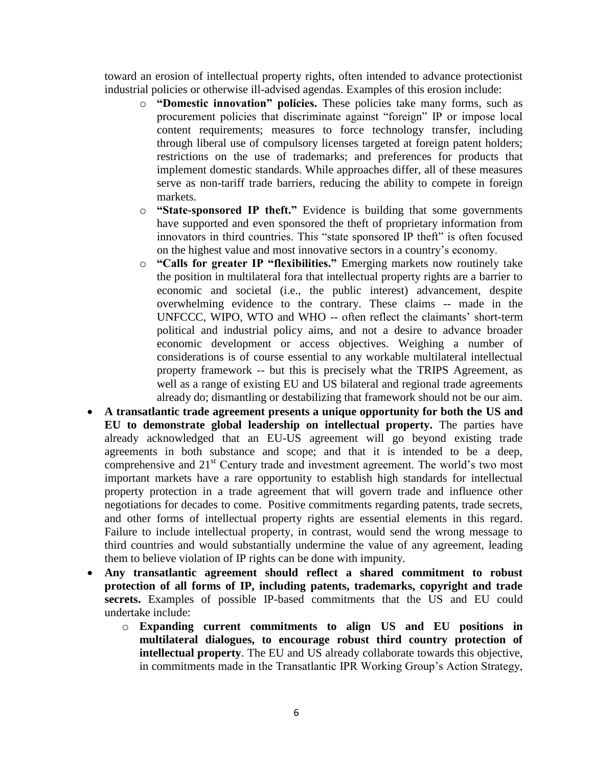toward an erosion of intellectual property rights, often intended to advance protectionist industrial policies or otherwise ill-advised agendas. Examples of this erosion include:

- o **"Domestic innovation" policies.** These policies take many forms, such as procurement policies that discriminate against "foreign" IP or impose local content requirements; measures to force technology transfer, including through liberal use of compulsory licenses targeted at foreign patent holders; restrictions on the use of trademarks; and preferences for products that implement domestic standards. While approaches differ, all of these measures serve as non-tariff trade barriers, reducing the ability to compete in foreign markets.
- o **"State-sponsored IP theft."** Evidence is building that some governments have supported and even sponsored the theft of proprietary information from innovators in third countries. This "state sponsored IP theft" is often focused on the highest value and most innovative sectors in a country's economy.
- o **"Calls for greater IP "flexibilities."** Emerging markets now routinely take the position in multilateral fora that intellectual property rights are a barrier to economic and societal (i.e., the public interest) advancement, despite overwhelming evidence to the contrary. These claims -- made in the UNFCCC, WIPO, WTO and WHO -- often reflect the claimants' short-term political and industrial policy aims, and not a desire to advance broader economic development or access objectives. Weighing a number of considerations is of course essential to any workable multilateral intellectual property framework -- but this is precisely what the TRIPS Agreement, as well as a range of existing EU and US bilateral and regional trade agreements already do; dismantling or destabilizing that framework should not be our aim.
- **A transatlantic trade agreement presents a unique opportunity for both the US and EU to demonstrate global leadership on intellectual property.** The parties have already acknowledged that an EU-US agreement will go beyond existing trade agreements in both substance and scope; and that it is intended to be a deep, comprehensive and 21<sup>st</sup> Century trade and investment agreement. The world's two most important markets have a rare opportunity to establish high standards for intellectual property protection in a trade agreement that will govern trade and influence other negotiations for decades to come. Positive commitments regarding patents, trade secrets, and other forms of intellectual property rights are essential elements in this regard. Failure to include intellectual property, in contrast, would send the wrong message to third countries and would substantially undermine the value of any agreement, leading them to believe violation of IP rights can be done with impunity.
- **Any transatlantic agreement should reflect a shared commitment to robust protection of all forms of IP, including patents, trademarks, copyright and trade secrets.** Examples of possible IP-based commitments that the US and EU could undertake include:
	- o **Expanding current commitments to align US and EU positions in multilateral dialogues, to encourage robust third country protection of intellectual property**. The EU and US already collaborate towards this objective, in commitments made in the Transatlantic IPR Working Group's Action Strategy,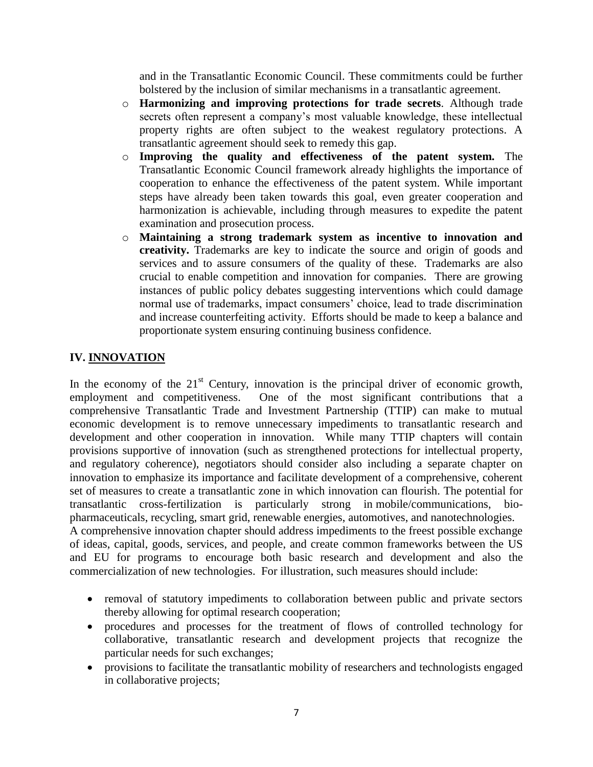and in the Transatlantic Economic Council. These commitments could be further bolstered by the inclusion of similar mechanisms in a transatlantic agreement.

- o **Harmonizing and improving protections for trade secrets**. Although trade secrets often represent a company's most valuable knowledge, these intellectual property rights are often subject to the weakest regulatory protections. A transatlantic agreement should seek to remedy this gap.
- o **Improving the quality and effectiveness of the patent system.** The Transatlantic Economic Council framework already highlights the importance of cooperation to enhance the effectiveness of the patent system. While important steps have already been taken towards this goal, even greater cooperation and harmonization is achievable, including through measures to expedite the patent examination and prosecution process.
- o **Maintaining a strong trademark system as incentive to innovation and creativity.** Trademarks are key to indicate the source and origin of goods and services and to assure consumers of the quality of these. Trademarks are also crucial to enable competition and innovation for companies. There are growing instances of public policy debates suggesting interventions which could damage normal use of trademarks, impact consumers' choice, lead to trade discrimination and increase counterfeiting activity. Efforts should be made to keep a balance and proportionate system ensuring continuing business confidence.

# **IV. INNOVATION**

In the economy of the  $21<sup>st</sup>$  Century, innovation is the principal driver of economic growth, employment and competitiveness. One of the most significant contributions that a comprehensive Transatlantic Trade and Investment Partnership (TTIP) can make to mutual economic development is to remove unnecessary impediments to transatlantic research and development and other cooperation in innovation. While many TTIP chapters will contain provisions supportive of innovation (such as strengthened protections for intellectual property, and regulatory coherence), negotiators should consider also including a separate chapter on innovation to emphasize its importance and facilitate development of a comprehensive, coherent set of measures to create a transatlantic zone in which innovation can flourish. The potential for transatlantic cross-fertilization is particularly strong in mobile/communications, biopharmaceuticals, recycling, smart grid, renewable energies, automotives, and nanotechnologies. A comprehensive innovation chapter should address impediments to the freest possible exchange of ideas, capital, goods, services, and people, and create common frameworks between the US and EU for programs to encourage both basic research and development and also the

• removal of statutory impediments to collaboration between public and private sectors thereby allowing for optimal research cooperation;

commercialization of new technologies. For illustration, such measures should include:

- procedures and processes for the treatment of flows of controlled technology for collaborative, transatlantic research and development projects that recognize the particular needs for such exchanges;
- provisions to facilitate the transatlantic mobility of researchers and technologists engaged in collaborative projects;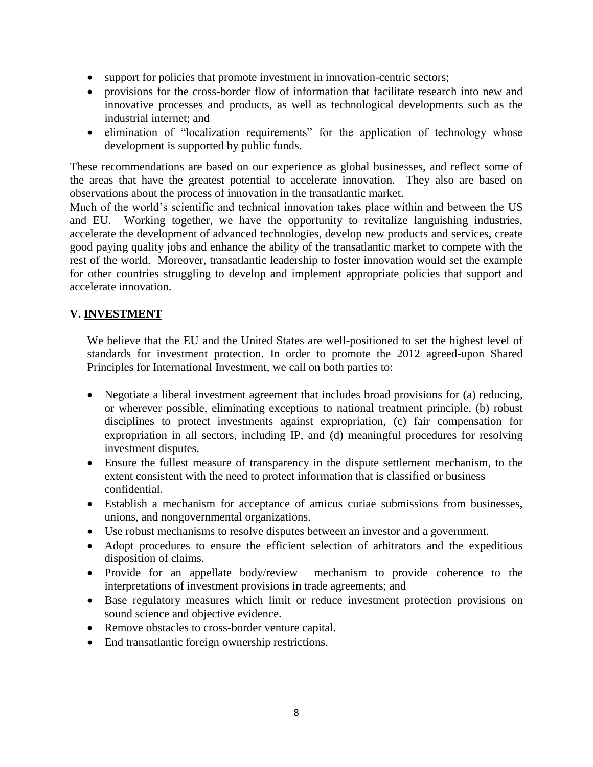- support for policies that promote investment in innovation-centric sectors;
- provisions for the cross-border flow of information that facilitate research into new and innovative processes and products, as well as technological developments such as the industrial internet; and
- elimination of "localization requirements" for the application of technology whose development is supported by public funds.

These recommendations are based on our experience as global businesses, and reflect some of the areas that have the greatest potential to accelerate innovation. They also are based on observations about the process of innovation in the transatlantic market.

Much of the world's scientific and technical innovation takes place within and between the US and EU. Working together, we have the opportunity to revitalize languishing industries, accelerate the development of advanced technologies, develop new products and services, create good paying quality jobs and enhance the ability of the transatlantic market to compete with the rest of the world. Moreover, transatlantic leadership to foster innovation would set the example for other countries struggling to develop and implement appropriate policies that support and accelerate innovation.

## **V. INVESTMENT**

We believe that the EU and the United States are well-positioned to set the highest level of standards for investment protection. In order to promote the 2012 agreed-upon Shared Principles for International Investment, we call on both parties to:

- Negotiate a liberal investment agreement that includes broad provisions for (a) reducing, or wherever possible, eliminating exceptions to national treatment principle, (b) robust disciplines to protect investments against expropriation, (c) fair compensation for expropriation in all sectors, including IP, and (d) meaningful procedures for resolving investment disputes.
- Ensure the fullest measure of transparency in the dispute settlement mechanism, to the extent consistent with the need to protect information that is classified or business confidential.
- Establish a mechanism for acceptance of amicus curiae submissions from businesses, unions, and nongovernmental organizations.
- Use robust mechanisms to resolve disputes between an investor and a government.
- Adopt procedures to ensure the efficient selection of arbitrators and the expeditious disposition of claims.
- Provide for an appellate body/review mechanism to provide coherence to the interpretations of investment provisions in trade agreements; and
- Base regulatory measures which limit or reduce investment protection provisions on sound science and objective evidence.
- Remove obstacles to cross-border venture capital.
- End transatlantic foreign ownership restrictions.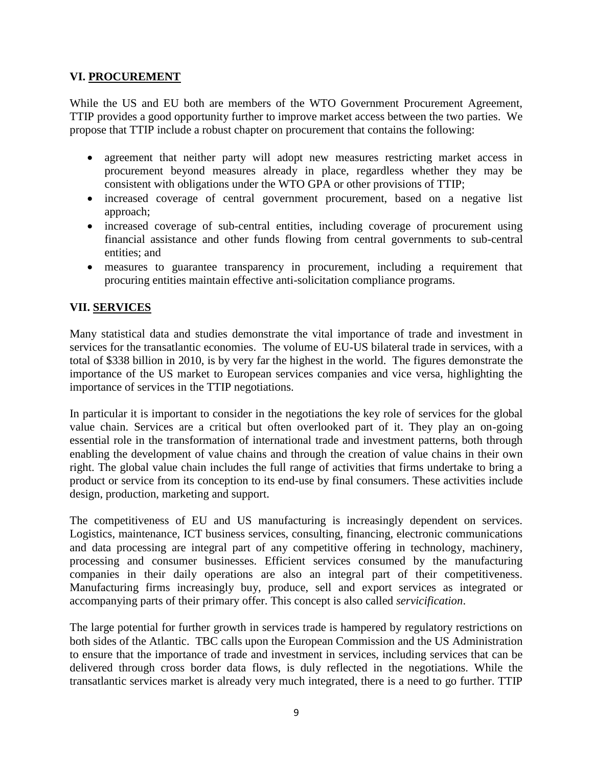#### **VI. PROCUREMENT**

While the US and EU both are members of the WTO Government Procurement Agreement, TTIP provides a good opportunity further to improve market access between the two parties. We propose that TTIP include a robust chapter on procurement that contains the following:

- agreement that neither party will adopt new measures restricting market access in procurement beyond measures already in place, regardless whether they may be consistent with obligations under the WTO GPA or other provisions of TTIP;
- increased coverage of central government procurement, based on a negative list approach;
- increased coverage of sub-central entities, including coverage of procurement using financial assistance and other funds flowing from central governments to sub-central entities; and
- measures to guarantee transparency in procurement, including a requirement that procuring entities maintain effective anti-solicitation compliance programs.

# **VII. SERVICES**

Many statistical data and studies demonstrate the vital importance of trade and investment in services for the transatlantic economies. The volume of EU-US bilateral trade in services, with a total of \$338 billion in 2010, is by very far the highest in the world. The figures demonstrate the importance of the US market to European services companies and vice versa, highlighting the importance of services in the TTIP negotiations.

In particular it is important to consider in the negotiations the key role of services for the global value chain. Services are a critical but often overlooked part of it. They play an on-going essential role in the transformation of international trade and investment patterns, both through enabling the development of value chains and through the creation of value chains in their own right. The global value chain includes the full range of activities that firms undertake to bring a product or service from its conception to its end-use by final consumers. These activities include design, production, marketing and support.

The competitiveness of EU and US manufacturing is increasingly dependent on services. Logistics, maintenance, ICT business services, consulting, financing, electronic communications and data processing are integral part of any competitive offering in technology, machinery, processing and consumer businesses. Efficient services consumed by the manufacturing companies in their daily operations are also an integral part of their competitiveness. Manufacturing firms increasingly buy, produce, sell and export services as integrated or accompanying parts of their primary offer. This concept is also called *servicification*.

The large potential for further growth in services trade is hampered by regulatory restrictions on both sides of the Atlantic. TBC calls upon the European Commission and the US Administration to ensure that the importance of trade and investment in services, including services that can be delivered through cross border data flows, is duly reflected in the negotiations. While the transatlantic services market is already very much integrated, there is a need to go further. TTIP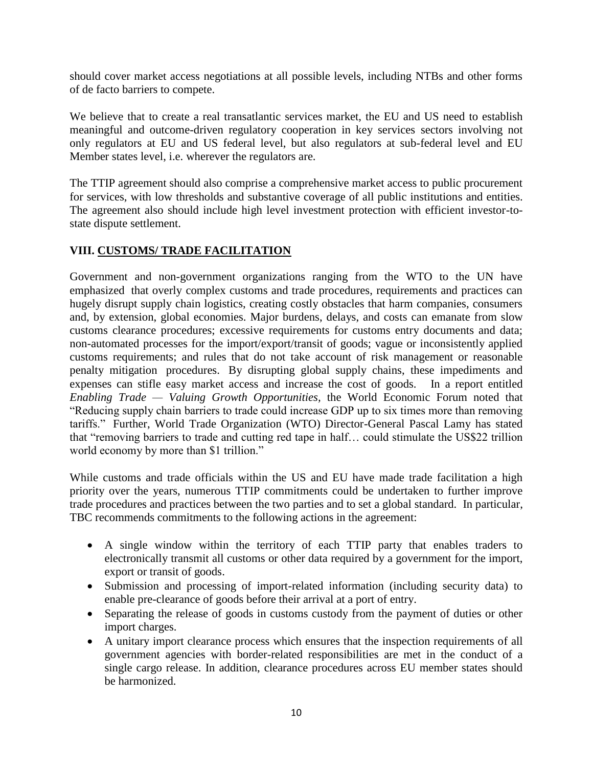should cover market access negotiations at all possible levels, including NTBs and other forms of de facto barriers to compete.

We believe that to create a real transatlantic services market, the EU and US need to establish meaningful and outcome-driven regulatory cooperation in key services sectors involving not only regulators at EU and US federal level, but also regulators at sub-federal level and EU Member states level, i.e. wherever the regulators are.

The TTIP agreement should also comprise a comprehensive market access to public procurement for services, with low thresholds and substantive coverage of all public institutions and entities. The agreement also should include high level investment protection with efficient investor-tostate dispute settlement.

# **VIII. CUSTOMS/ TRADE FACILITATION**

Government and non-government organizations ranging from the WTO to the UN have emphasized that overly complex customs and trade procedures, requirements and practices can hugely disrupt supply chain logistics, creating costly obstacles that harm companies, consumers and, by extension, global economies. Major burdens, delays, and costs can emanate from slow customs clearance procedures; excessive requirements for customs entry documents and data; non-automated processes for the import/export/transit of goods; vague or inconsistently applied customs requirements; and rules that do not take account of risk management or reasonable penalty mitigation procedures. By disrupting global supply chains, these impediments and expenses can stifle easy market access and increase the cost of goods. In a report entitled *Enabling Trade — Valuing Growth Opportunities,* the World Economic Forum noted that "Reducing supply chain barriers to trade could increase GDP up to six times more than removing tariffs." Further, World Trade Organization (WTO) Director-General Pascal Lamy has stated that "removing barriers to trade and cutting red tape in half… could stimulate the US\$22 trillion world economy by more than \$1 trillion."

While customs and trade officials within the US and EU have made trade facilitation a high priority over the years, numerous TTIP commitments could be undertaken to further improve trade procedures and practices between the two parties and to set a global standard. In particular, TBC recommends commitments to the following actions in the agreement:

- A single window within the territory of each TTIP party that enables traders to electronically transmit all customs or other data required by a government for the import, export or transit of goods.
- Submission and processing of import-related information (including security data) to enable pre-clearance of goods before their arrival at a port of entry.
- Separating the release of goods in customs custody from the payment of duties or other import charges.
- A unitary import clearance process which ensures that the inspection requirements of all government agencies with border-related responsibilities are met in the conduct of a single cargo release. In addition, clearance procedures across EU member states should be harmonized.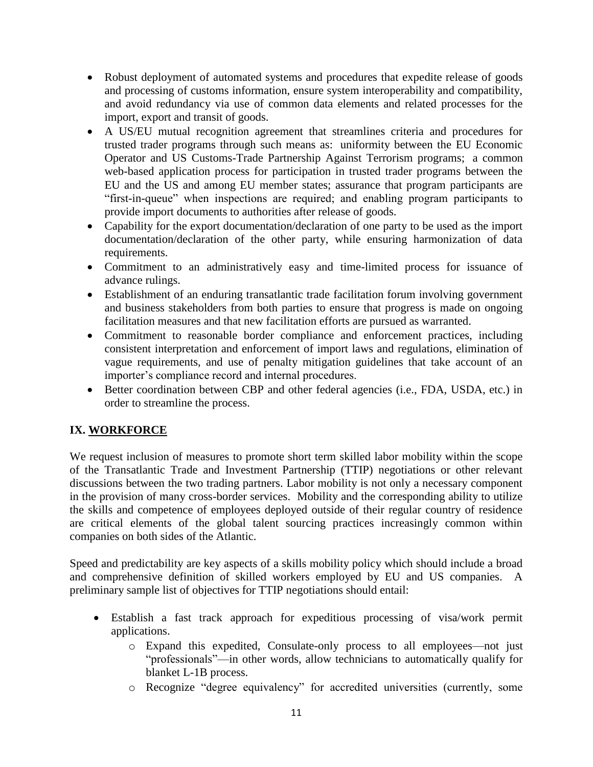- Robust deployment of automated systems and procedures that expedite release of goods and processing of customs information, ensure system interoperability and compatibility, and avoid redundancy via use of common data elements and related processes for the import, export and transit of goods.
- A US/EU mutual recognition agreement that streamlines criteria and procedures for trusted trader programs through such means as: uniformity between the EU Economic Operator and US Customs-Trade Partnership Against Terrorism programs; a common web-based application process for participation in trusted trader programs between the EU and the US and among EU member states; assurance that program participants are "first-in-queue" when inspections are required; and enabling program participants to provide import documents to authorities after release of goods.
- Capability for the export documentation/declaration of one party to be used as the import documentation/declaration of the other party, while ensuring harmonization of data requirements.
- Commitment to an administratively easy and time-limited process for issuance of advance rulings.
- Establishment of an enduring transatlantic trade facilitation forum involving government and business stakeholders from both parties to ensure that progress is made on ongoing facilitation measures and that new facilitation efforts are pursued as warranted.
- Commitment to reasonable border compliance and enforcement practices, including consistent interpretation and enforcement of import laws and regulations, elimination of vague requirements, and use of penalty mitigation guidelines that take account of an importer's compliance record and internal procedures.
- Better coordination between CBP and other federal agencies (i.e., FDA, USDA, etc.) in order to streamline the process.

# **IX. WORKFORCE**

We request inclusion of measures to promote short term skilled labor mobility within the scope of the Transatlantic Trade and Investment Partnership (TTIP) negotiations or other relevant discussions between the two trading partners. Labor mobility is not only a necessary component in the provision of many cross-border services. Mobility and the corresponding ability to utilize the skills and competence of employees deployed outside of their regular country of residence are critical elements of the global talent sourcing practices increasingly common within companies on both sides of the Atlantic.

Speed and predictability are key aspects of a skills mobility policy which should include a broad and comprehensive definition of skilled workers employed by EU and US companies. A preliminary sample list of objectives for TTIP negotiations should entail:

- Establish a fast track approach for expeditious processing of visa/work permit applications.
	- o Expand this expedited, Consulate-only process to all employees—not just "professionals"—in other words, allow technicians to automatically qualify for blanket L-1B process.
	- o Recognize "degree equivalency" for accredited universities (currently, some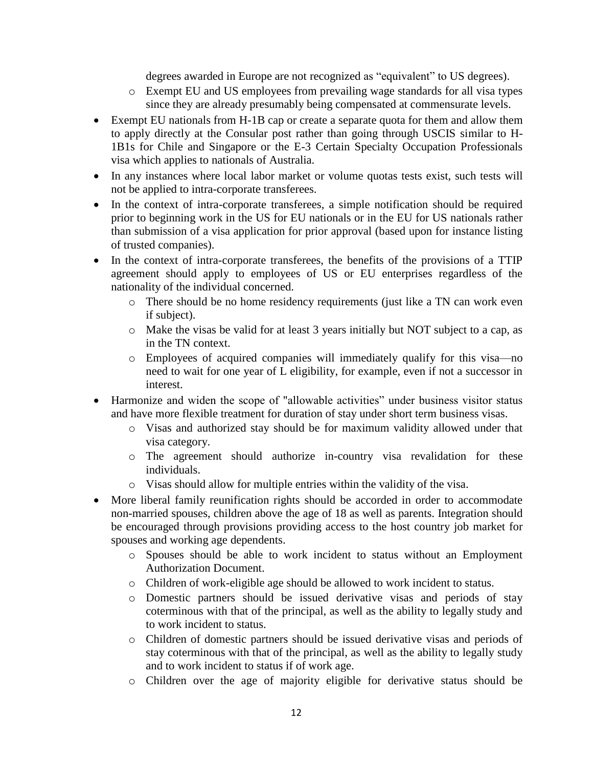degrees awarded in Europe are not recognized as "equivalent" to US degrees).

- o Exempt EU and US employees from prevailing wage standards for all visa types since they are already presumably being compensated at commensurate levels.
- Exempt EU nationals from H-1B cap or create a separate quota for them and allow them to apply directly at the Consular post rather than going through USCIS similar to H-1B1s for Chile and Singapore or the E-3 Certain Specialty Occupation Professionals visa which applies to nationals of Australia.
- In any instances where local labor market or volume quotas tests exist, such tests will not be applied to intra-corporate transferees.
- In the context of intra-corporate transferees, a simple notification should be required prior to beginning work in the US for EU nationals or in the EU for US nationals rather than submission of a visa application for prior approval (based upon for instance listing of trusted companies).
- In the context of intra-corporate transferees, the benefits of the provisions of a TTIP agreement should apply to employees of US or EU enterprises regardless of the nationality of the individual concerned.
	- o There should be no home residency requirements (just like a TN can work even if subject).
	- o Make the visas be valid for at least 3 years initially but NOT subject to a cap, as in the TN context.
	- o Employees of acquired companies will immediately qualify for this visa—no need to wait for one year of L eligibility, for example, even if not a successor in interest.
- Harmonize and widen the scope of "allowable activities" under business visitor status and have more flexible treatment for duration of stay under short term business visas.
	- o Visas and authorized stay should be for maximum validity allowed under that visa category.
	- o The agreement should authorize in-country visa revalidation for these individuals.
	- o Visas should allow for multiple entries within the validity of the visa.
- More liberal family reunification rights should be accorded in order to accommodate non-married spouses, children above the age of 18 as well as parents. Integration should be encouraged through provisions providing access to the host country job market for spouses and working age dependents.
	- o Spouses should be able to work incident to status without an Employment Authorization Document.
	- o Children of work-eligible age should be allowed to work incident to status.
	- o Domestic partners should be issued derivative visas and periods of stay coterminous with that of the principal, as well as the ability to legally study and to work incident to status.
	- o Children of domestic partners should be issued derivative visas and periods of stay coterminous with that of the principal, as well as the ability to legally study and to work incident to status if of work age.
	- o Children over the age of majority eligible for derivative status should be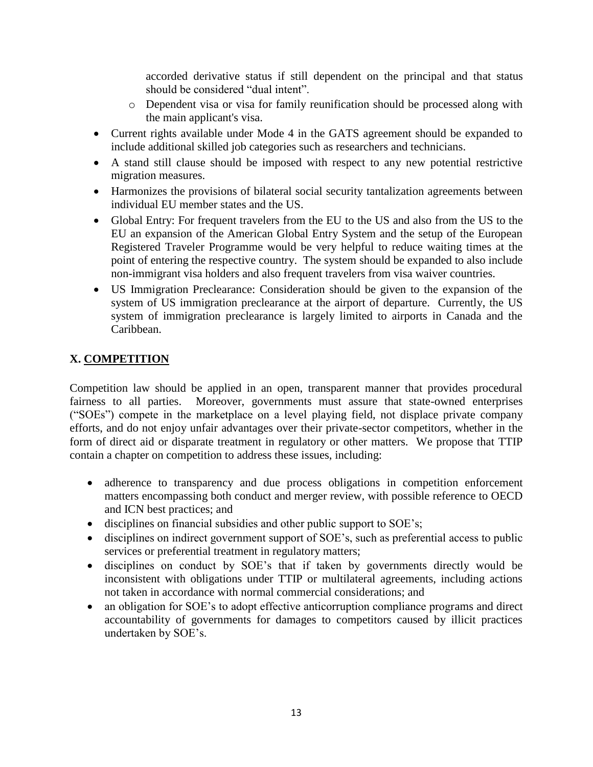accorded derivative status if still dependent on the principal and that status should be considered "dual intent".

- o Dependent visa or visa for family reunification should be processed along with the main applicant's visa.
- Current rights available under Mode 4 in the GATS agreement should be expanded to include additional skilled job categories such as researchers and technicians.
- A stand still clause should be imposed with respect to any new potential restrictive migration measures.
- Harmonizes the provisions of bilateral social security tantalization agreements between individual EU member states and the US.
- Global Entry: For frequent travelers from the EU to the US and also from the US to the EU an expansion of the American Global Entry System and the setup of the European Registered Traveler Programme would be very helpful to reduce waiting times at the point of entering the respective country. The system should be expanded to also include non-immigrant visa holders and also frequent travelers from visa waiver countries.
- US Immigration Preclearance: Consideration should be given to the expansion of the system of US immigration preclearance at the airport of departure. Currently, the US system of immigration preclearance is largely limited to airports in Canada and the Caribbean.

# **X. COMPETITION**

Competition law should be applied in an open, transparent manner that provides procedural fairness to all parties. Moreover, governments must assure that state-owned enterprises ("SOEs") compete in the marketplace on a level playing field, not displace private company efforts, and do not enjoy unfair advantages over their private-sector competitors, whether in the form of direct aid or disparate treatment in regulatory or other matters. We propose that TTIP contain a chapter on competition to address these issues, including:

- adherence to transparency and due process obligations in competition enforcement matters encompassing both conduct and merger review, with possible reference to OECD and ICN best practices; and
- disciplines on financial subsidies and other public support to SOE's;
- disciplines on indirect government support of SOE's, such as preferential access to public services or preferential treatment in regulatory matters;
- disciplines on conduct by SOE's that if taken by governments directly would be inconsistent with obligations under TTIP or multilateral agreements, including actions not taken in accordance with normal commercial considerations; and
- an obligation for SOE's to adopt effective anticorruption compliance programs and direct accountability of governments for damages to competitors caused by illicit practices undertaken by SOE's.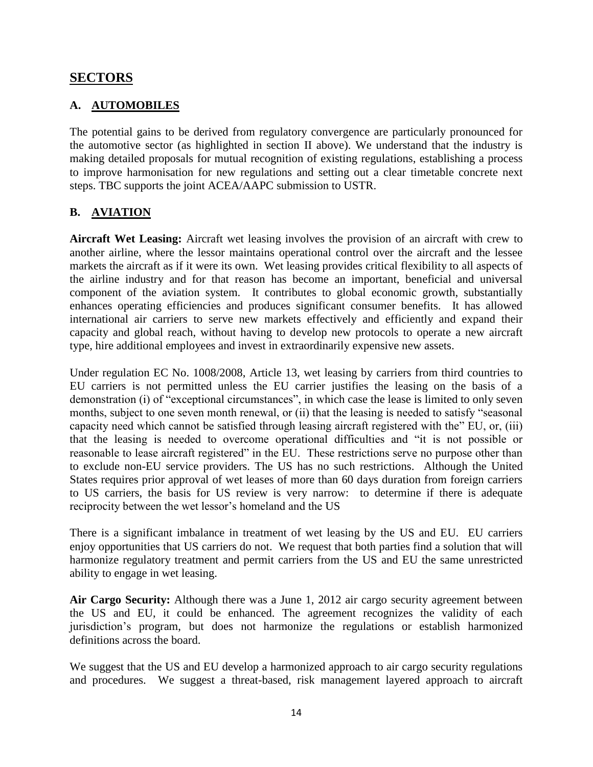# **SECTORS**

# **A. AUTOMOBILES**

The potential gains to be derived from regulatory convergence are particularly pronounced for the automotive sector (as highlighted in section II above). We understand that the industry is making detailed proposals for mutual recognition of existing regulations, establishing a process to improve harmonisation for new regulations and setting out a clear timetable concrete next steps. TBC supports the joint ACEA/AAPC submission to USTR.

# **B. AVIATION**

**Aircraft Wet Leasing:** Aircraft wet leasing involves the provision of an aircraft with crew to another airline, where the lessor maintains operational control over the aircraft and the lessee markets the aircraft as if it were its own. Wet leasing provides critical flexibility to all aspects of the airline industry and for that reason has become an important, beneficial and universal component of the aviation system. It contributes to global economic growth, substantially enhances operating efficiencies and produces significant consumer benefits. It has allowed international air carriers to serve new markets effectively and efficiently and expand their capacity and global reach, without having to develop new protocols to operate a new aircraft type, hire additional employees and invest in extraordinarily expensive new assets.

Under regulation EC No. 1008/2008, Article 13, wet leasing by carriers from third countries to EU carriers is not permitted unless the EU carrier justifies the leasing on the basis of a demonstration (i) of "exceptional circumstances", in which case the lease is limited to only seven months, subject to one seven month renewal, or (ii) that the leasing is needed to satisfy "seasonal capacity need which cannot be satisfied through leasing aircraft registered with the" EU, or, (iii) that the leasing is needed to overcome operational difficulties and "it is not possible or reasonable to lease aircraft registered" in the EU. These restrictions serve no purpose other than to exclude non-EU service providers. The US has no such restrictions. Although the United States requires prior approval of wet leases of more than 60 days duration from foreign carriers to US carriers, the basis for US review is very narrow: to determine if there is adequate reciprocity between the wet lessor's homeland and the US

There is a significant imbalance in treatment of wet leasing by the US and EU. EU carriers enjoy opportunities that US carriers do not. We request that both parties find a solution that will harmonize regulatory treatment and permit carriers from the US and EU the same unrestricted ability to engage in wet leasing.

**Air Cargo Security:** Although there was a June 1, 2012 air cargo security agreement between the US and EU, it could be enhanced. The agreement recognizes the validity of each jurisdiction's program, but does not harmonize the regulations or establish harmonized definitions across the board.

We suggest that the US and EU develop a harmonized approach to air cargo security regulations and procedures. We suggest a threat-based, risk management layered approach to aircraft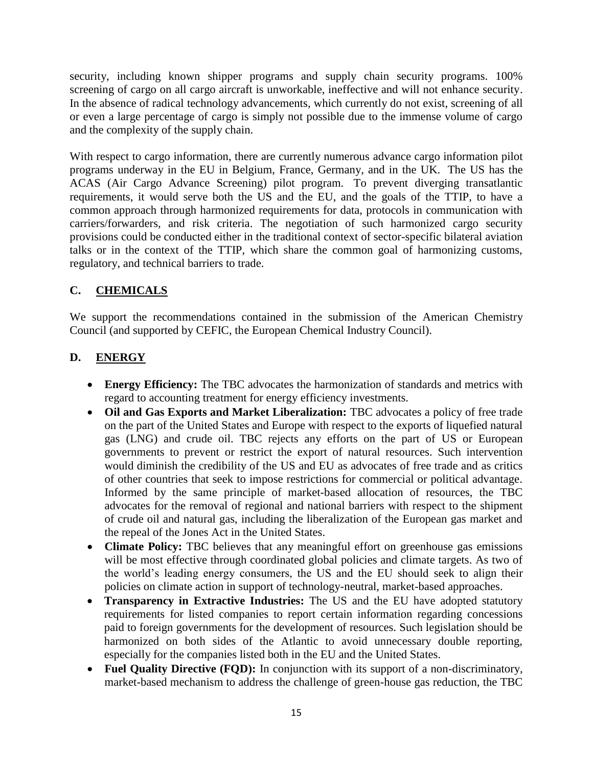security, including known shipper programs and supply chain security programs. 100% screening of cargo on all cargo aircraft is unworkable, ineffective and will not enhance security. In the absence of radical technology advancements, which currently do not exist, screening of all or even a large percentage of cargo is simply not possible due to the immense volume of cargo and the complexity of the supply chain.

With respect to cargo information, there are currently numerous advance cargo information pilot programs underway in the EU in Belgium, France, Germany, and in the UK. The US has the ACAS (Air Cargo Advance Screening) pilot program. To prevent diverging transatlantic requirements, it would serve both the US and the EU, and the goals of the TTIP, to have a common approach through harmonized requirements for data, protocols in communication with carriers/forwarders, and risk criteria. The negotiation of such harmonized cargo security provisions could be conducted either in the traditional context of sector-specific bilateral aviation talks or in the context of the TTIP, which share the common goal of harmonizing customs, regulatory, and technical barriers to trade.

# **C. CHEMICALS**

We support the recommendations contained in the submission of the American Chemistry Council (and supported by CEFIC, the European Chemical Industry Council).

# **D. ENERGY**

- **Energy Efficiency:** The TBC advocates the harmonization of standards and metrics with regard to accounting treatment for energy efficiency investments.
- Oil and Gas Exports and Market Liberalization: TBC advocates a policy of free trade on the part of the United States and Europe with respect to the exports of liquefied natural gas (LNG) and crude oil. TBC rejects any efforts on the part of US or European governments to prevent or restrict the export of natural resources. Such intervention would diminish the credibility of the US and EU as advocates of free trade and as critics of other countries that seek to impose restrictions for commercial or political advantage. Informed by the same principle of market-based allocation of resources, the TBC advocates for the removal of regional and national barriers with respect to the shipment of crude oil and natural gas, including the liberalization of the European gas market and the repeal of the Jones Act in the United States.
- **Climate Policy:** TBC believes that any meaningful effort on greenhouse gas emissions will be most effective through coordinated global policies and climate targets. As two of the world's leading energy consumers, the US and the EU should seek to align their policies on climate action in support of technology-neutral, market-based approaches.
- **Transparency in Extractive Industries:** The US and the EU have adopted statutory requirements for listed companies to report certain information regarding concessions paid to foreign governments for the development of resources. Such legislation should be harmonized on both sides of the Atlantic to avoid unnecessary double reporting, especially for the companies listed both in the EU and the United States.
- **Fuel Quality Directive (FQD):** In conjunction with its support of a non-discriminatory, market-based mechanism to address the challenge of green-house gas reduction, the TBC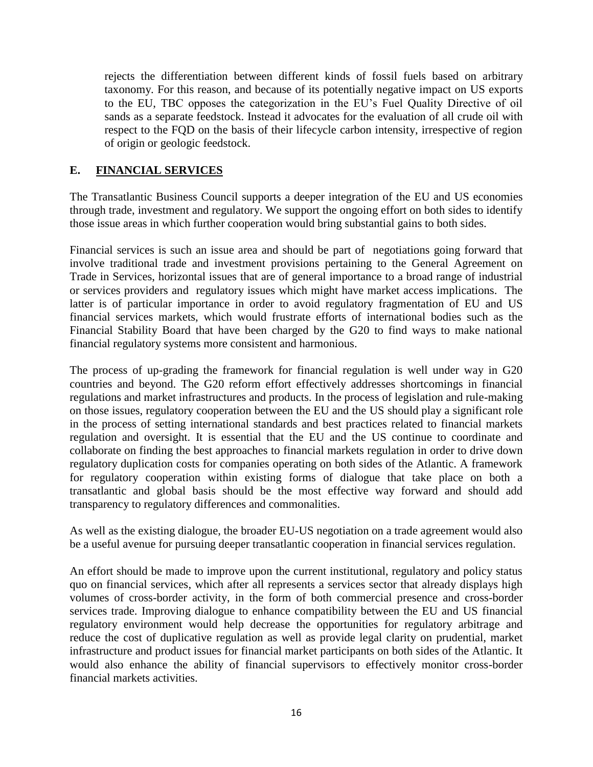rejects the differentiation between different kinds of fossil fuels based on arbitrary taxonomy. For this reason, and because of its potentially negative impact on US exports to the EU, TBC opposes the categorization in the EU's Fuel Quality Directive of oil sands as a separate feedstock. Instead it advocates for the evaluation of all crude oil with respect to the FQD on the basis of their lifecycle carbon intensity, irrespective of region of origin or geologic feedstock.

### **E. FINANCIAL SERVICES**

The Transatlantic Business Council supports a deeper integration of the EU and US economies through trade, investment and regulatory. We support the ongoing effort on both sides to identify those issue areas in which further cooperation would bring substantial gains to both sides.

Financial services is such an issue area and should be part of negotiations going forward that involve traditional trade and investment provisions pertaining to the General Agreement on Trade in Services, horizontal issues that are of general importance to a broad range of industrial or services providers and regulatory issues which might have market access implications. The latter is of particular importance in order to avoid regulatory fragmentation of EU and US financial services markets, which would frustrate efforts of international bodies such as the Financial Stability Board that have been charged by the G20 to find ways to make national financial regulatory systems more consistent and harmonious.

The process of up-grading the framework for financial regulation is well under way in G20 countries and beyond. The G20 reform effort effectively addresses shortcomings in financial regulations and market infrastructures and products. In the process of legislation and rule-making on those issues, regulatory cooperation between the EU and the US should play a significant role in the process of setting international standards and best practices related to financial markets regulation and oversight. It is essential that the EU and the US continue to coordinate and collaborate on finding the best approaches to financial markets regulation in order to drive down regulatory duplication costs for companies operating on both sides of the Atlantic. A framework for regulatory cooperation within existing forms of dialogue that take place on both a transatlantic and global basis should be the most effective way forward and should add transparency to regulatory differences and commonalities.

As well as the existing dialogue, the broader EU-US negotiation on a trade agreement would also be a useful avenue for pursuing deeper transatlantic cooperation in financial services regulation.

An effort should be made to improve upon the current institutional, regulatory and policy status quo on financial services, which after all represents a services sector that already displays high volumes of cross-border activity, in the form of both commercial presence and cross-border services trade. Improving dialogue to enhance compatibility between the EU and US financial regulatory environment would help decrease the opportunities for regulatory arbitrage and reduce the cost of duplicative regulation as well as provide legal clarity on prudential, market infrastructure and product issues for financial market participants on both sides of the Atlantic. It would also enhance the ability of financial supervisors to effectively monitor cross-border financial markets activities.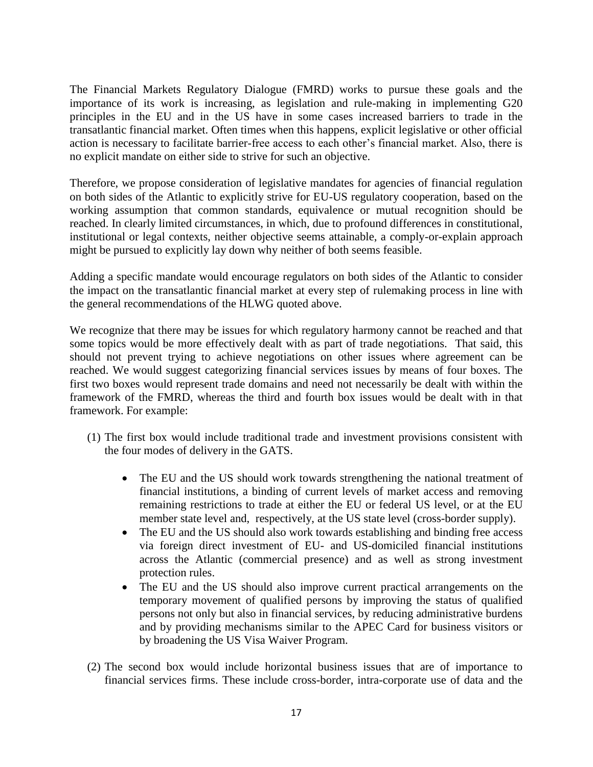The Financial Markets Regulatory Dialogue (FMRD) works to pursue these goals and the importance of its work is increasing, as legislation and rule-making in implementing G20 principles in the EU and in the US have in some cases increased barriers to trade in the transatlantic financial market. Often times when this happens, explicit legislative or other official action is necessary to facilitate barrier-free access to each other's financial market. Also, there is no explicit mandate on either side to strive for such an objective.

Therefore, we propose consideration of legislative mandates for agencies of financial regulation on both sides of the Atlantic to explicitly strive for EU-US regulatory cooperation, based on the working assumption that common standards, equivalence or mutual recognition should be reached. In clearly limited circumstances, in which, due to profound differences in constitutional, institutional or legal contexts, neither objective seems attainable, a comply-or-explain approach might be pursued to explicitly lay down why neither of both seems feasible.

Adding a specific mandate would encourage regulators on both sides of the Atlantic to consider the impact on the transatlantic financial market at every step of rulemaking process in line with the general recommendations of the HLWG quoted above.

We recognize that there may be issues for which regulatory harmony cannot be reached and that some topics would be more effectively dealt with as part of trade negotiations. That said, this should not prevent trying to achieve negotiations on other issues where agreement can be reached. We would suggest categorizing financial services issues by means of four boxes. The first two boxes would represent trade domains and need not necessarily be dealt with within the framework of the FMRD, whereas the third and fourth box issues would be dealt with in that framework. For example:

- (1) The first box would include traditional trade and investment provisions consistent with the four modes of delivery in the GATS.
	- The EU and the US should work towards strengthening the national treatment of financial institutions, a binding of current levels of market access and removing remaining restrictions to trade at either the EU or federal US level, or at the EU member state level and, respectively, at the US state level (cross-border supply).
	- The EU and the US should also work towards establishing and binding free access via foreign direct investment of EU- and US-domiciled financial institutions across the Atlantic (commercial presence) and as well as strong investment protection rules.
	- The EU and the US should also improve current practical arrangements on the temporary movement of qualified persons by improving the status of qualified persons not only but also in financial services, by reducing administrative burdens and by providing mechanisms similar to the APEC Card for business visitors or by broadening the US Visa Waiver Program.
- (2) The second box would include horizontal business issues that are of importance to financial services firms. These include cross-border, intra-corporate use of data and the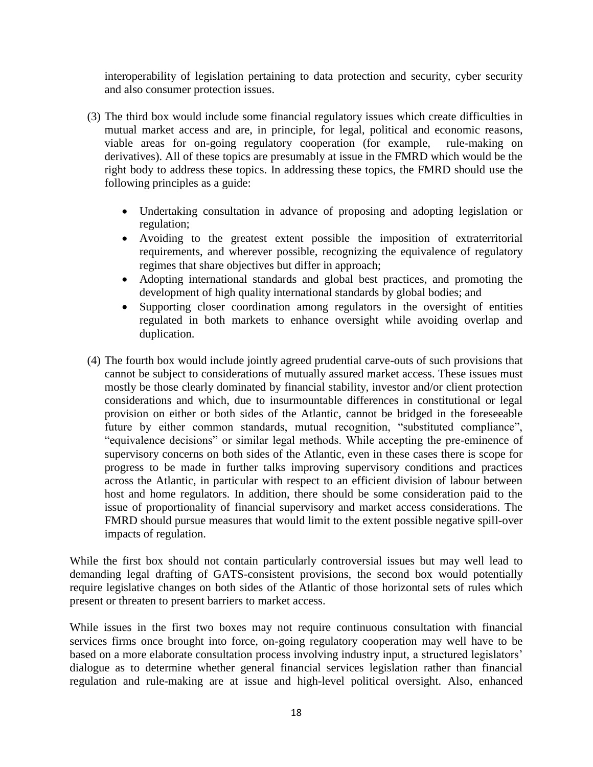interoperability of legislation pertaining to data protection and security, cyber security and also consumer protection issues.

- (3) The third box would include some financial regulatory issues which create difficulties in mutual market access and are, in principle, for legal, political and economic reasons, viable areas for on-going regulatory cooperation (for example, rule-making on derivatives). All of these topics are presumably at issue in the FMRD which would be the right body to address these topics. In addressing these topics, the FMRD should use the following principles as a guide:
	- Undertaking consultation in advance of proposing and adopting legislation or regulation;
	- Avoiding to the greatest extent possible the imposition of extraterritorial requirements, and wherever possible, recognizing the equivalence of regulatory regimes that share objectives but differ in approach;
	- Adopting international standards and global best practices, and promoting the development of high quality international standards by global bodies; and
	- Supporting closer coordination among regulators in the oversight of entities regulated in both markets to enhance oversight while avoiding overlap and duplication.
- (4) The fourth box would include jointly agreed prudential carve-outs of such provisions that cannot be subject to considerations of mutually assured market access. These issues must mostly be those clearly dominated by financial stability, investor and/or client protection considerations and which, due to insurmountable differences in constitutional or legal provision on either or both sides of the Atlantic, cannot be bridged in the foreseeable future by either common standards, mutual recognition, "substituted compliance", "equivalence decisions" or similar legal methods. While accepting the pre-eminence of supervisory concerns on both sides of the Atlantic, even in these cases there is scope for progress to be made in further talks improving supervisory conditions and practices across the Atlantic, in particular with respect to an efficient division of labour between host and home regulators. In addition, there should be some consideration paid to the issue of proportionality of financial supervisory and market access considerations. The FMRD should pursue measures that would limit to the extent possible negative spill-over impacts of regulation.

While the first box should not contain particularly controversial issues but may well lead to demanding legal drafting of GATS-consistent provisions, the second box would potentially require legislative changes on both sides of the Atlantic of those horizontal sets of rules which present or threaten to present barriers to market access.

While issues in the first two boxes may not require continuous consultation with financial services firms once brought into force, on-going regulatory cooperation may well have to be based on a more elaborate consultation process involving industry input, a structured legislators' dialogue as to determine whether general financial services legislation rather than financial regulation and rule-making are at issue and high-level political oversight. Also, enhanced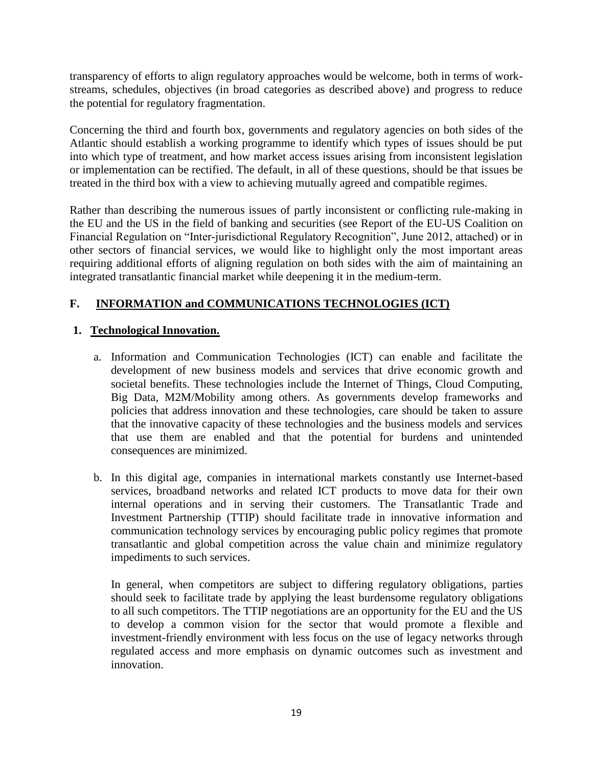transparency of efforts to align regulatory approaches would be welcome, both in terms of workstreams, schedules, objectives (in broad categories as described above) and progress to reduce the potential for regulatory fragmentation.

Concerning the third and fourth box, governments and regulatory agencies on both sides of the Atlantic should establish a working programme to identify which types of issues should be put into which type of treatment, and how market access issues arising from inconsistent legislation or implementation can be rectified. The default, in all of these questions, should be that issues be treated in the third box with a view to achieving mutually agreed and compatible regimes.

Rather than describing the numerous issues of partly inconsistent or conflicting rule-making in the EU and the US in the field of banking and securities (see Report of the EU-US Coalition on Financial Regulation on "Inter-jurisdictional Regulatory Recognition", June 2012, attached) or in other sectors of financial services, we would like to highlight only the most important areas requiring additional efforts of aligning regulation on both sides with the aim of maintaining an integrated transatlantic financial market while deepening it in the medium-term.

# **F. INFORMATION and COMMUNICATIONS TECHNOLOGIES (ICT)**

## **1. Technological Innovation.**

- a. Information and Communication Technologies (ICT) can enable and facilitate the development of new business models and services that drive economic growth and societal benefits. These technologies include the Internet of Things, Cloud Computing, Big Data, M2M/Mobility among others. As governments develop frameworks and policies that address innovation and these technologies, care should be taken to assure that the innovative capacity of these technologies and the business models and services that use them are enabled and that the potential for burdens and unintended consequences are minimized.
- b. In this digital age, companies in international markets constantly use Internet-based services, broadband networks and related ICT products to move data for their own internal operations and in serving their customers. The Transatlantic Trade and Investment Partnership (TTIP) should facilitate trade in innovative information and communication technology services by encouraging public policy regimes that promote transatlantic and global competition across the value chain and minimize regulatory impediments to such services.

In general, when competitors are subject to differing regulatory obligations, parties should seek to facilitate trade by applying the least burdensome regulatory obligations to all such competitors. The TTIP negotiations are an opportunity for the EU and the US to develop a common vision for the sector that would promote a flexible and investment-friendly environment with less focus on the use of legacy networks through regulated access and more emphasis on dynamic outcomes such as investment and innovation.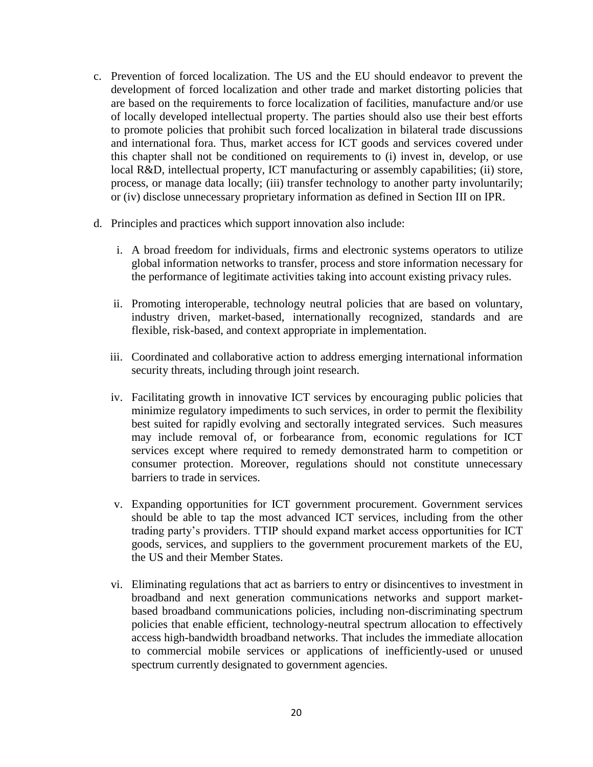- c. Prevention of forced localization. The US and the EU should endeavor to prevent the development of forced localization and other trade and market distorting policies that are based on the requirements to force localization of facilities, manufacture and/or use of locally developed intellectual property. The parties should also use their best efforts to promote policies that prohibit such forced localization in bilateral trade discussions and international fora. Thus, market access for ICT goods and services covered under this chapter shall not be conditioned on requirements to (i) invest in, develop, or use local R&D, intellectual property, ICT manufacturing or assembly capabilities; (ii) store, process, or manage data locally; (iii) transfer technology to another party involuntarily; or (iv) disclose unnecessary proprietary information as defined in Section III on IPR.
- d. Principles and practices which support innovation also include:
	- i. A broad freedom for individuals, firms and electronic systems operators to utilize global information networks to transfer, process and store information necessary for the performance of legitimate activities taking into account existing privacy rules.
	- ii. Promoting interoperable, technology neutral policies that are based on voluntary, industry driven, market-based, internationally recognized, standards and are flexible, risk-based, and context appropriate in implementation.
	- iii. Coordinated and collaborative action to address emerging international information security threats, including through joint research.
	- iv. Facilitating growth in innovative ICT services by encouraging public policies that minimize regulatory impediments to such services, in order to permit the flexibility best suited for rapidly evolving and sectorally integrated services. Such measures may include removal of, or forbearance from, economic regulations for ICT services except where required to remedy demonstrated harm to competition or consumer protection. Moreover, regulations should not constitute unnecessary barriers to trade in services.
	- v. Expanding opportunities for ICT government procurement. Government services should be able to tap the most advanced ICT services, including from the other trading party's providers. TTIP should expand market access opportunities for ICT goods, services, and suppliers to the government procurement markets of the EU, the US and their Member States.
	- vi. Eliminating regulations that act as barriers to entry or disincentives to investment in broadband and next generation communications networks and support marketbased broadband communications policies, including non-discriminating spectrum policies that enable efficient, technology-neutral spectrum allocation to effectively access high-bandwidth broadband networks. That includes the immediate allocation to commercial mobile services or applications of inefficiently-used or unused spectrum currently designated to government agencies.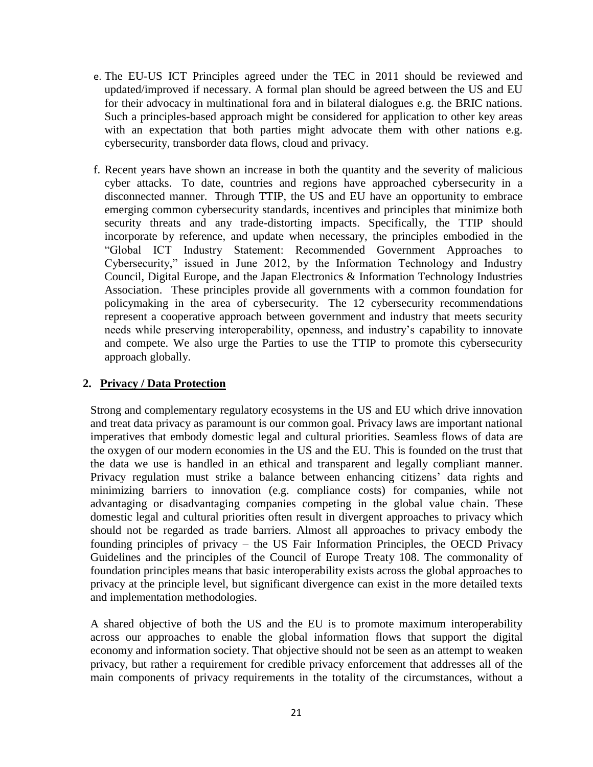- e. The EU-US ICT Principles agreed under the TEC in 2011 should be reviewed and updated/improved if necessary. A formal plan should be agreed between the US and EU for their advocacy in multinational fora and in bilateral dialogues e.g. the BRIC nations. Such a principles-based approach might be considered for application to other key areas with an expectation that both parties might advocate them with other nations e.g. cybersecurity, transborder data flows, cloud and privacy.
- f. Recent years have shown an increase in both the quantity and the severity of malicious cyber attacks. To date, countries and regions have approached cybersecurity in a disconnected manner. Through TTIP, the US and EU have an opportunity to embrace emerging common cybersecurity standards, incentives and principles that minimize both security threats and any trade-distorting impacts. Specifically, the TTIP should incorporate by reference, and update when necessary, the principles embodied in the "Global ICT Industry Statement: Recommended Government Approaches to Cybersecurity," issued in June 2012, by the Information Technology and Industry Council, Digital Europe, and the Japan Electronics & Information Technology Industries Association. These principles provide all governments with a common foundation for policymaking in the area of cybersecurity. The 12 cybersecurity recommendations represent a cooperative approach between government and industry that meets security needs while preserving interoperability, openness, and industry's capability to innovate and compete. We also urge the Parties to use the TTIP to promote this cybersecurity approach globally.

#### **2. Privacy / Data Protection**

Strong and complementary regulatory ecosystems in the US and EU which drive innovation and treat data privacy as paramount is our common goal. Privacy laws are important national imperatives that embody domestic legal and cultural priorities. Seamless flows of data are the oxygen of our modern economies in the US and the EU. This is founded on the trust that the data we use is handled in an ethical and transparent and legally compliant manner. Privacy regulation must strike a balance between enhancing citizens' data rights and minimizing barriers to innovation (e.g. compliance costs) for companies, while not advantaging or disadvantaging companies competing in the global value chain. These domestic legal and cultural priorities often result in divergent approaches to privacy which should not be regarded as trade barriers. Almost all approaches to privacy embody the founding principles of privacy – the US Fair Information Principles, the OECD Privacy Guidelines and the principles of the Council of Europe Treaty 108. The commonality of foundation principles means that basic interoperability exists across the global approaches to privacy at the principle level, but significant divergence can exist in the more detailed texts and implementation methodologies.

A shared objective of both the US and the EU is to promote maximum interoperability across our approaches to enable the global information flows that support the digital economy and information society. That objective should not be seen as an attempt to weaken privacy, but rather a requirement for credible privacy enforcement that addresses all of the main components of privacy requirements in the totality of the circumstances, without a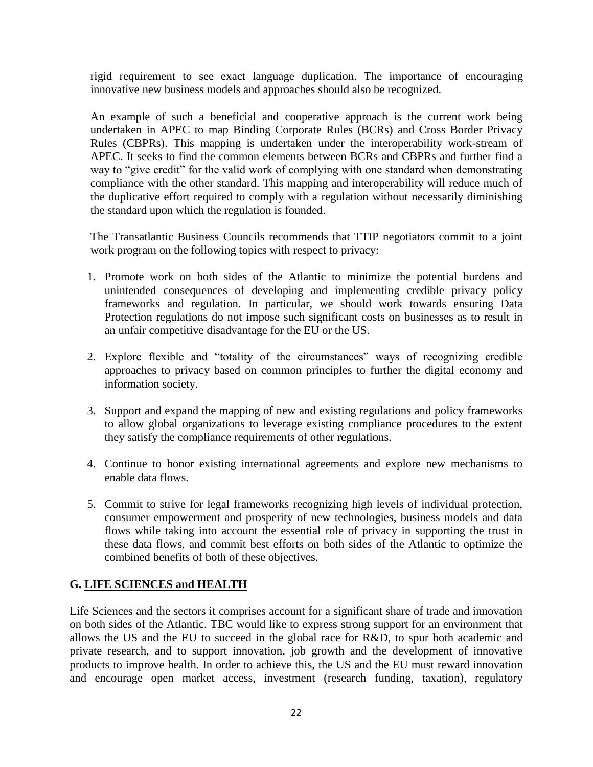rigid requirement to see exact language duplication. The importance of encouraging innovative new business models and approaches should also be recognized.

An example of such a beneficial and cooperative approach is the current work being undertaken in APEC to map Binding Corporate Rules (BCRs) and Cross Border Privacy Rules (CBPRs). This mapping is undertaken under the interoperability work-stream of APEC. It seeks to find the common elements between BCRs and CBPRs and further find a way to "give credit" for the valid work of complying with one standard when demonstrating compliance with the other standard. This mapping and interoperability will reduce much of the duplicative effort required to comply with a regulation without necessarily diminishing the standard upon which the regulation is founded.

The Transatlantic Business Councils recommends that TTIP negotiators commit to a joint work program on the following topics with respect to privacy:

- 1. Promote work on both sides of the Atlantic to minimize the potential burdens and unintended consequences of developing and implementing credible privacy policy frameworks and regulation. In particular, we should work towards ensuring Data Protection regulations do not impose such significant costs on businesses as to result in an unfair competitive disadvantage for the EU or the US.
- 2. Explore flexible and "totality of the circumstances" ways of recognizing credible approaches to privacy based on common principles to further the digital economy and information society.
- 3. Support and expand the mapping of new and existing regulations and policy frameworks to allow global organizations to leverage existing compliance procedures to the extent they satisfy the compliance requirements of other regulations.
- 4. Continue to honor existing international agreements and explore new mechanisms to enable data flows.
- 5. Commit to strive for legal frameworks recognizing high levels of individual protection, consumer empowerment and prosperity of new technologies, business models and data flows while taking into account the essential role of privacy in supporting the trust in these data flows, and commit best efforts on both sides of the Atlantic to optimize the combined benefits of both of these objectives.

## **G. LIFE SCIENCES and HEALTH**

Life Sciences and the sectors it comprises account for a significant share of trade and innovation on both sides of the Atlantic. TBC would like to express strong support for an environment that allows the US and the EU to succeed in the global race for R&D, to spur both academic and private research, and to support innovation, job growth and the development of innovative products to improve health. In order to achieve this, the US and the EU must reward innovation and encourage open market access, investment (research funding, taxation), regulatory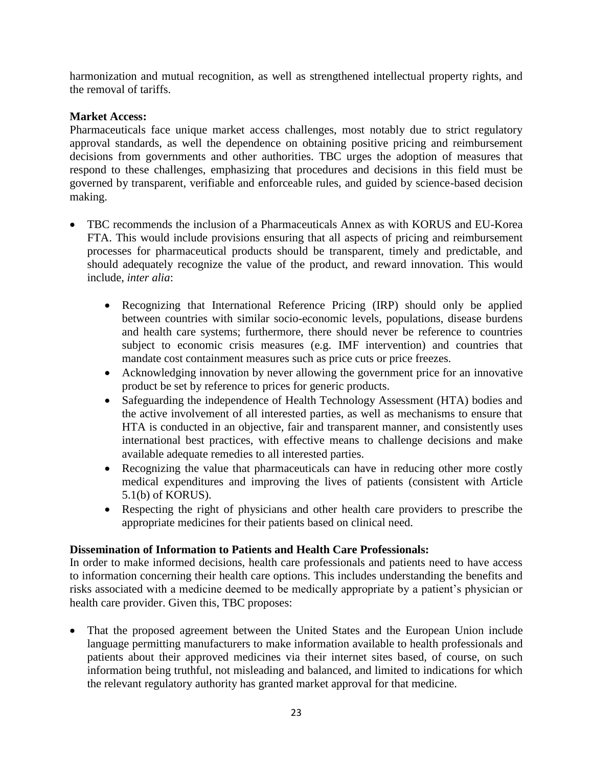harmonization and mutual recognition, as well as strengthened intellectual property rights, and the removal of tariffs.

### **Market Access:**

Pharmaceuticals face unique market access challenges, most notably due to strict regulatory approval standards, as well the dependence on obtaining positive pricing and reimbursement decisions from governments and other authorities. TBC urges the adoption of measures that respond to these challenges, emphasizing that procedures and decisions in this field must be governed by transparent, verifiable and enforceable rules, and guided by science-based decision making.

- TBC recommends the inclusion of a Pharmaceuticals Annex as with KORUS and EU-Korea FTA. This would include provisions ensuring that all aspects of pricing and reimbursement processes for pharmaceutical products should be transparent, timely and predictable, and should adequately recognize the value of the product, and reward innovation. This would include, *inter alia*:
	- Recognizing that International Reference Pricing (IRP) should only be applied between countries with similar socio-economic levels, populations, disease burdens and health care systems; furthermore, there should never be reference to countries subject to economic crisis measures (e.g. IMF intervention) and countries that mandate cost containment measures such as price cuts or price freezes.
	- Acknowledging innovation by never allowing the government price for an innovative product be set by reference to prices for generic products.
	- Safeguarding the independence of Health Technology Assessment (HTA) bodies and the active involvement of all interested parties, as well as mechanisms to ensure that HTA is conducted in an objective, fair and transparent manner, and consistently uses international best practices, with effective means to challenge decisions and make available adequate remedies to all interested parties.
	- Recognizing the value that pharmaceuticals can have in reducing other more costly medical expenditures and improving the lives of patients (consistent with Article 5.1(b) of KORUS).
	- Respecting the right of physicians and other health care providers to prescribe the appropriate medicines for their patients based on clinical need.

## **Dissemination of Information to Patients and Health Care Professionals:**

In order to make informed decisions, health care professionals and patients need to have access to information concerning their health care options. This includes understanding the benefits and risks associated with a medicine deemed to be medically appropriate by a patient's physician or health care provider. Given this, TBC proposes:

• That the proposed agreement between the United States and the European Union include language permitting manufacturers to make information available to health professionals and patients about their approved medicines via their internet sites based, of course, on such information being truthful, not misleading and balanced, and limited to indications for which the relevant regulatory authority has granted market approval for that medicine.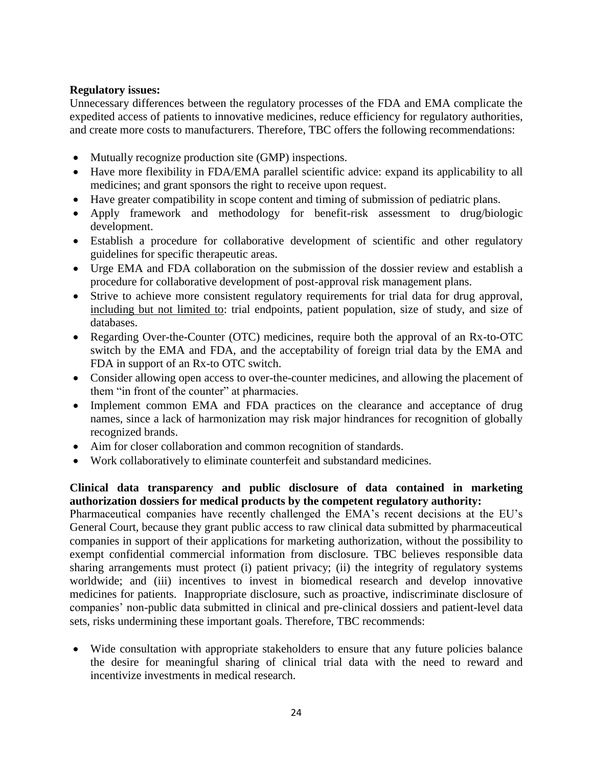### **Regulatory issues:**

Unnecessary differences between the regulatory processes of the FDA and EMA complicate the expedited access of patients to innovative medicines, reduce efficiency for regulatory authorities, and create more costs to manufacturers. Therefore, TBC offers the following recommendations:

- Mutually recognize production site (GMP) inspections.
- Have more flexibility in FDA/EMA parallel scientific advice: expand its applicability to all medicines; and grant sponsors the right to receive upon request.
- Have greater compatibility in scope content and timing of submission of pediatric plans.
- Apply framework and methodology for benefit-risk assessment to drug/biologic development.
- Establish a procedure for collaborative development of scientific and other regulatory guidelines for specific therapeutic areas.
- Urge EMA and FDA collaboration on the submission of the dossier review and establish a procedure for collaborative development of post-approval risk management plans.
- Strive to achieve more consistent regulatory requirements for trial data for drug approval, including but not limited to: trial endpoints, patient population, size of study, and size of databases.
- Regarding Over-the-Counter (OTC) medicines, require both the approval of an Rx-to-OTC switch by the EMA and FDA, and the acceptability of foreign trial data by the EMA and FDA in support of an Rx-to OTC switch.
- Consider allowing open access to over-the-counter medicines, and allowing the placement of them "in front of the counter" at pharmacies.
- Implement common EMA and FDA practices on the clearance and acceptance of drug names, since a lack of harmonization may risk major hindrances for recognition of globally recognized brands.
- Aim for closer collaboration and common recognition of standards.
- Work collaboratively to eliminate counterfeit and substandard medicines.

## **Clinical data transparency and public disclosure of data contained in marketing authorization dossiers for medical products by the competent regulatory authority:**

Pharmaceutical companies have recently challenged the EMA's recent decisions at the EU's General Court, because they grant public access to raw clinical data submitted by pharmaceutical companies in support of their applications for marketing authorization, without the possibility to exempt confidential commercial information from disclosure. TBC believes responsible data sharing arrangements must protect (i) patient privacy; (ii) the integrity of regulatory systems worldwide; and (iii) incentives to invest in biomedical research and develop innovative medicines for patients. Inappropriate disclosure, such as proactive, indiscriminate disclosure of companies' non-public data submitted in clinical and pre-clinical dossiers and patient-level data sets, risks undermining these important goals. Therefore, TBC recommends:

 Wide consultation with appropriate stakeholders to ensure that any future policies balance the desire for meaningful sharing of clinical trial data with the need to reward and incentivize investments in medical research.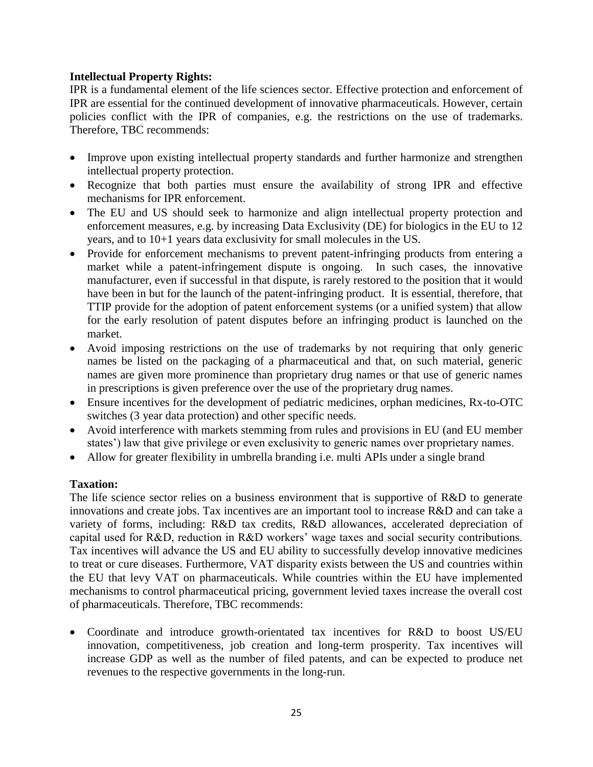### **Intellectual Property Rights:**

IPR is a fundamental element of the life sciences sector. Effective protection and enforcement of IPR are essential for the continued development of innovative pharmaceuticals. However, certain policies conflict with the IPR of companies, e.g. the restrictions on the use of trademarks. Therefore, TBC recommends:

- Improve upon existing intellectual property standards and further harmonize and strengthen intellectual property protection.
- Recognize that both parties must ensure the availability of strong IPR and effective mechanisms for IPR enforcement.
- The EU and US should seek to harmonize and align intellectual property protection and enforcement measures, e.g. by increasing Data Exclusivity (DE) for biologics in the EU to 12 years, and to 10+1 years data exclusivity for small molecules in the US.
- Provide for enforcement mechanisms to prevent patent-infringing products from entering a market while a patent-infringement dispute is ongoing. In such cases, the innovative manufacturer, even if successful in that dispute, is rarely restored to the position that it would have been in but for the launch of the patent-infringing product. It is essential, therefore, that TTIP provide for the adoption of patent enforcement systems (or a unified system) that allow for the early resolution of patent disputes before an infringing product is launched on the market.
- Avoid imposing restrictions on the use of trademarks by not requiring that only generic names be listed on the packaging of a pharmaceutical and that, on such material, generic names are given more prominence than proprietary drug names or that use of generic names in prescriptions is given preference over the use of the proprietary drug names.
- Ensure incentives for the development of pediatric medicines, orphan medicines, Rx-to-OTC switches (3 year data protection) and other specific needs.
- Avoid interference with markets stemming from rules and provisions in EU (and EU member states') law that give privilege or even exclusivity to generic names over proprietary names.
- Allow for greater flexibility in umbrella branding i.e. multi APIs under a single brand

## **Taxation:**

The life science sector relies on a business environment that is supportive of R&D to generate innovations and create jobs. Tax incentives are an important tool to increase R&D and can take a variety of forms, including: R&D tax credits, R&D allowances, accelerated depreciation of capital used for R&D, reduction in R&D workers' wage taxes and social security contributions. Tax incentives will advance the US and EU ability to successfully develop innovative medicines to treat or cure diseases. Furthermore, VAT disparity exists between the US and countries within the EU that levy VAT on pharmaceuticals. While countries within the EU have implemented mechanisms to control pharmaceutical pricing, government levied taxes increase the overall cost of pharmaceuticals. Therefore, TBC recommends:

 Coordinate and introduce growth-orientated tax incentives for R&D to boost US/EU innovation, competitiveness, job creation and long-term prosperity. Tax incentives will increase GDP as well as the number of filed patents, and can be expected to produce net revenues to the respective governments in the long-run.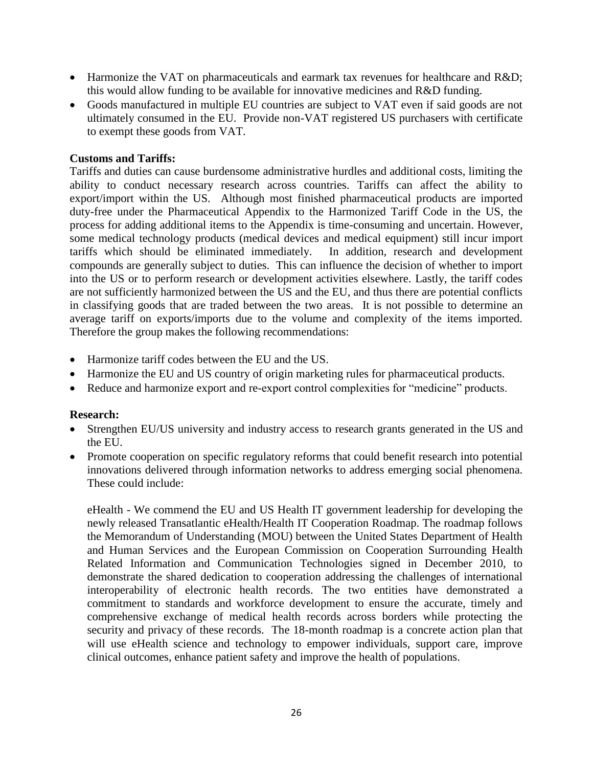- Harmonize the VAT on pharmaceuticals and earmark tax revenues for healthcare and R&D; this would allow funding to be available for innovative medicines and R&D funding.
- Goods manufactured in multiple EU countries are subject to VAT even if said goods are not ultimately consumed in the EU. Provide non-VAT registered US purchasers with certificate to exempt these goods from VAT.

#### **Customs and Tariffs:**

Tariffs and duties can cause burdensome administrative hurdles and additional costs, limiting the ability to conduct necessary research across countries. Tariffs can affect the ability to export/import within the US. Although most finished pharmaceutical products are imported duty-free under the Pharmaceutical Appendix to the Harmonized Tariff Code in the US, the process for adding additional items to the Appendix is time-consuming and uncertain. However, some medical technology products (medical devices and medical equipment) still incur import tariffs which should be eliminated immediately. In addition, research and development compounds are generally subject to duties. This can influence the decision of whether to import into the US or to perform research or development activities elsewhere. Lastly, the tariff codes are not sufficiently harmonized between the US and the EU, and thus there are potential conflicts in classifying goods that are traded between the two areas.It is not possible to determine an average tariff on exports/imports due to the volume and complexity of the items imported. Therefore the group makes the following recommendations:

- Harmonize tariff codes between the EU and the US.
- Harmonize the EU and US country of origin marketing rules for pharmaceutical products.
- Reduce and harmonize export and re-export control complexities for "medicine" products.

#### **Research:**

- Strengthen EU/US university and industry access to research grants generated in the US and the EU.
- Promote cooperation on specific regulatory reforms that could benefit research into potential innovations delivered through information networks to address emerging social phenomena. These could include:

eHealth - We commend the EU and US Health IT government leadership for developing the newly released Transatlantic eHealth/Health IT Cooperation Roadmap. The roadmap follows the Memorandum of Understanding (MOU) between the United States Department of Health and Human Services and the European Commission on Cooperation Surrounding Health Related Information and Communication Technologies signed in December 2010, to demonstrate the shared dedication to cooperation addressing the challenges of international interoperability of electronic health records. The two entities have demonstrated a commitment to standards and workforce development to ensure the accurate, timely and comprehensive exchange of medical health records across borders while protecting the security and privacy of these records. The 18-month roadmap is a concrete action plan that will use eHealth science and technology to empower individuals, support care, improve clinical outcomes, enhance patient safety and improve the health of populations.